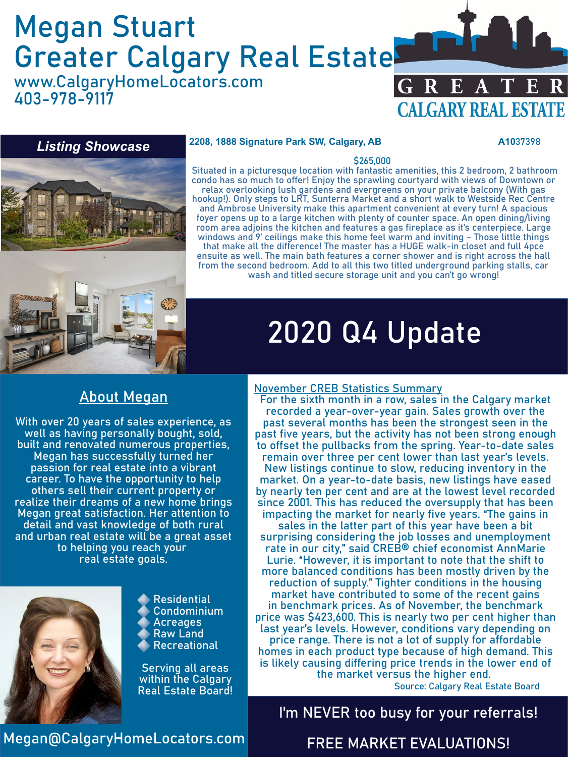# Megan Stuart Greater Calgary Real Estate

www.CalgaryHomeLocators.com 403-978-9117





#### **2208, 1888 Signature Park SW, Calgary, AB A10**37398

#### \$265,000

Situated in a picturesque location with fantastic amenities, this 2 bedroom, 2 bathroom condo has so much to offer! Enjoy the sprawling courtyard with views of Downtown or relax overlooking lush gardens and evergreens on your private balcony (With gas hookup!). Only steps to LRT, Sunterra Market and a short walk to Westside Rec Centre and Ambrose University make this apartment convenient at every turn! A spacious foyer opens up to a large kitchen with plenty of counter space. An open dining/living room area adjoins the kitchen and features a gas fireplace as it's centerpiece. Large windows and 9' ceilings make this home feel warm and inviting – Those little things that make all the difference! The master has a HUGE walk-in closet and full 4pce

ensuite as well. The main bath features a corner shower and is right across the hall from the second bedroom. Add to all this two titled underground parking stalls, car wash and titled secure storage unit and you can't go wrong!

# 2020 Q4 Update

### About Megan

With over 20 years of sales experience, as well as having personally bought, sold, built and renovated numerous properties, Megan has successfully turned her passion for real estate into a vibrant career. To have the opportunity to help others sell their current property or realize their dreams of a new home brings Megan great satisfaction. Her attention to detail and vast knowledge of both rural and urban real estate will be a great asset to helping you reach your real estate goals.



Residential Condominium Acreages Raw Land Recreational

Serving all areas within the Calgary Real Estate Board!

#### November CREB Statistics Summary

For the sixth month in a row, sales in the Calgary market recorded a year-over-year gain. Sales growth over the past several months has been the strongest seen in the past five years, but the activity has not been strong enough to offset the pullbacks from the spring. Year-to-date sales remain over three per cent lower than last year's levels. New listings continue to slow, reducing inventory in the market. On a year-to-date basis, new listings have eased by nearly ten per cent and are at the lowest level recorded since 2001. This has reduced the oversupply that has been impacting the market for nearly five years. "The gains in sales in the latter part of this year have been a bit surprising considering the job losses and unemployment rate in our city," said CREB® chief economist AnnMarie Lurie. "However, it is important to note that the shift to more balanced conditions has been mostly driven by the reduction of supply." Tighter conditions in the housing market have contributed to some of the recent gains in benchmark prices. As of November, the benchmark price was \$423,600. This is nearly two per cent higher than last year's levels. However, conditions vary depending on price range. There is not a lot of supply for affordable homes in each product type because of high demand. This is likely causing differing price trends in the lower end of the market versus the higher end.

Source: Calgary Real Estate Board

### I'm NEVER too busy for your referrals!

Megan@CalgaryHomeLocators.com

#### FREE MARKET EVALUATIONS!